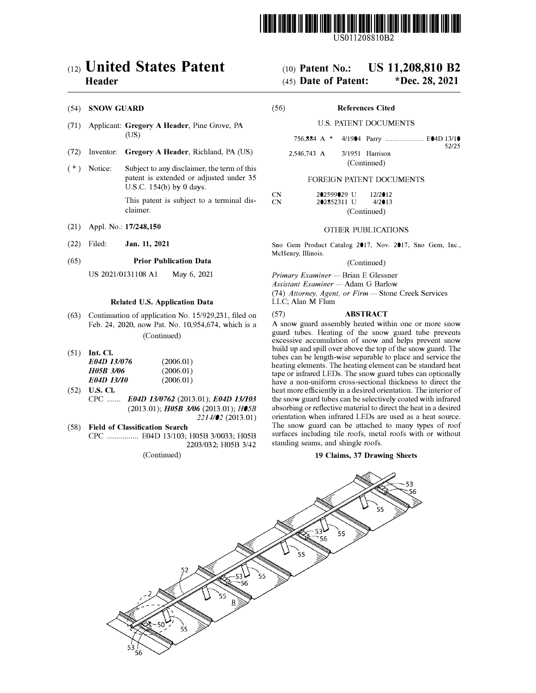

US011208810B2

### c12) **United States Patent Header**

#### (54) **SNOW GUARD**

- (71) Applicant: **Gregory A Header,** Pine Grove, PA (US)
- (72) Inventor: **Gregory A Header,** Richland, PA (US)
- $(*)$  Notice: Subject to any disclaimer, the term of this patent is extended or adjusted under 35 U.S.C. 154(b) by O days.

This patent is subject to a terminal disclaimer.

- (21) Appl. No.: **17/248,150**
- (22) Filed: **Jan. 11, 2021**

#### (65) **Prior Publication Data**

US 2021/0131108 Al May 6, 2021

### **Related U.S. Application Data**

- (63) Continuation of application No. 15/929,231, filed on Feb. 24, 2020, now Pat. No. 10,954,674, which is a (Continued)
- (51) **Int. Cl.**

| E04D 13/076 | (2006.01) |
|-------------|-----------|
| H05B 3/06   | (2006.01) |
| E04D 13/10  | (2006.01) |

- (52) **U.S. Cl.**  CPC ....... *E04D 1310762* (2013.01); *E04D 13/103*  (2013.01); *H0SB 3/06* (2013.01); *H05B 2214/02* (2013.01)
- ( 58) **Field of Classification Search**  CPC ................ E04D 13/103; H05B 3/0033; H05B 2203/032; H05B 3/42

(Continued)

## (IO) **Patent No.: US 11,208,810 B2**

## (45) **Date of Patent: \*Dec. 28, 2021**

(56) **References Cited** 

#### U.S. PATENT DOCUMENTS

756,884 A \* 4/1904 Parry ...................... E04D 13/10

52/25

2,546,743 A 3/1951 Harrison (Continued)

### FOREIGN PATENT DOCUMENTS

| CN | 202599029 U  | 12/2012     |
|----|--------------|-------------|
| CN | 202852311 LT | $4/2$ 013   |
|    |              | (Continued) |

#### OTHER PUBLICATIONS

Sno Gem Product Catalog 2017, Nov. 2017, Sno Gem, Inc., McHenry, Illinois.

(Continued)

*Primary Examiner* - Brian E Glessner

*Assistant Examiner* - Adam G Barlow (74) *Attorney, Agent, or Firm* - Stone Creek Services

LLC; Alan M Flum

#### (57) **ABSTRACT**

A snow guard assembly heated within one or more snow guard tubes. Heating of the snow guard tube prevents excessive accumulation of snow and helps prevent snow build up and spill over above the top of the snow guard. The tubes can be length-wise separable to place and service the heating elements. The heating element can be standard heat tape or infrared LEDs. The snow guard tubes can optionally have a non-uniform cross-sectional thickness to direct the heat more efficiently in a desired orientation. The interior of the snow guard tubes can be selectively coated with infrared absorbing or reflective material to direct the heat in a desired orientation when infrared LEDs are used as a heat source. The snow guard can be attached to many types of roof surfaces including tile roofs, metal roofs with or without standing seams, and shingle roofs.

#### **19 Claims, 37 Drawing Sheets**

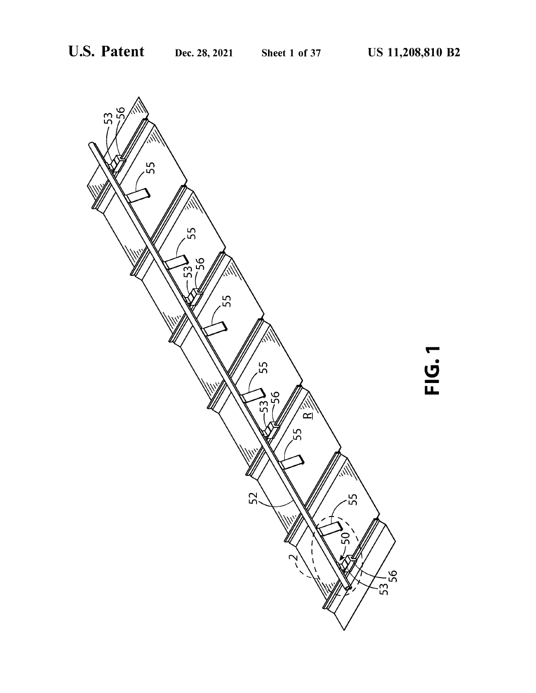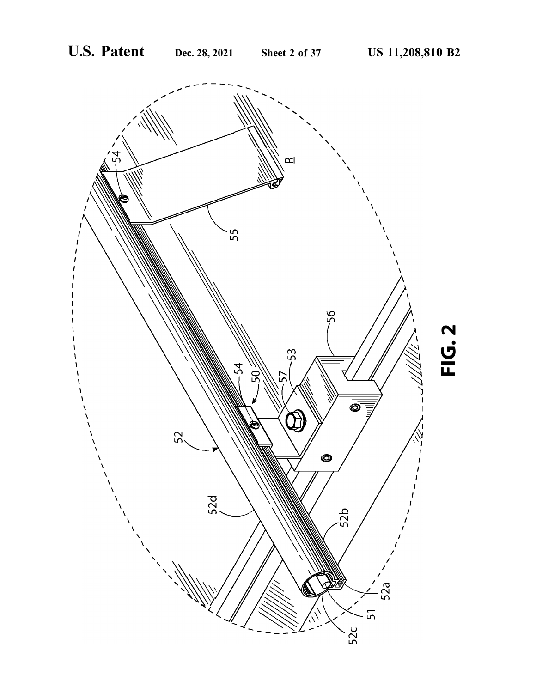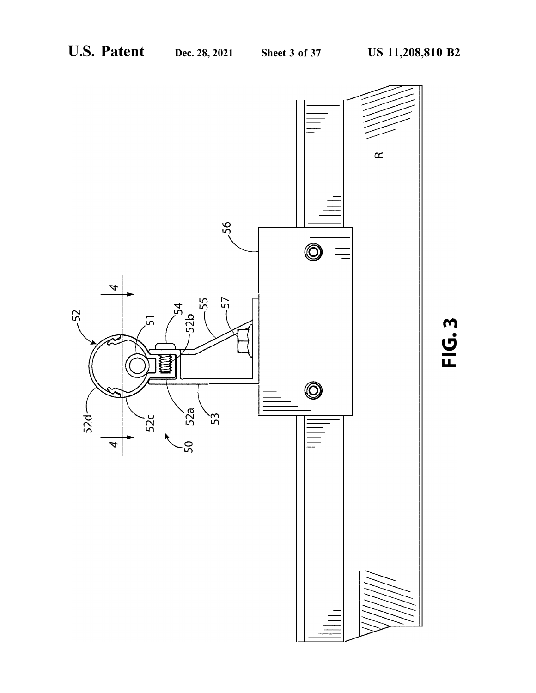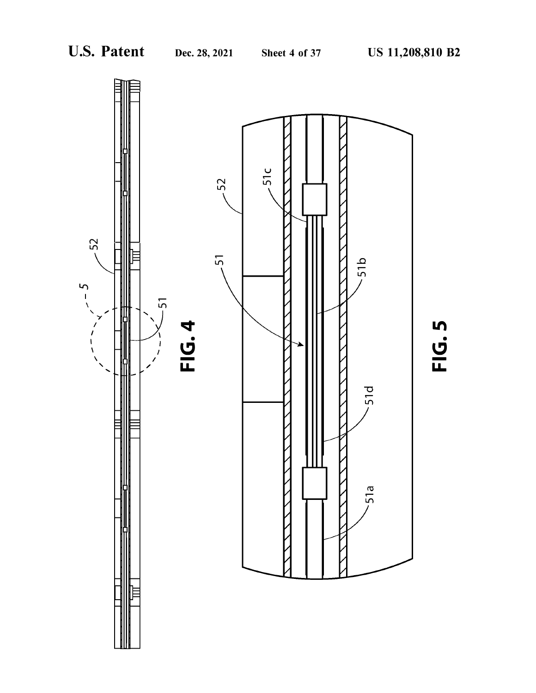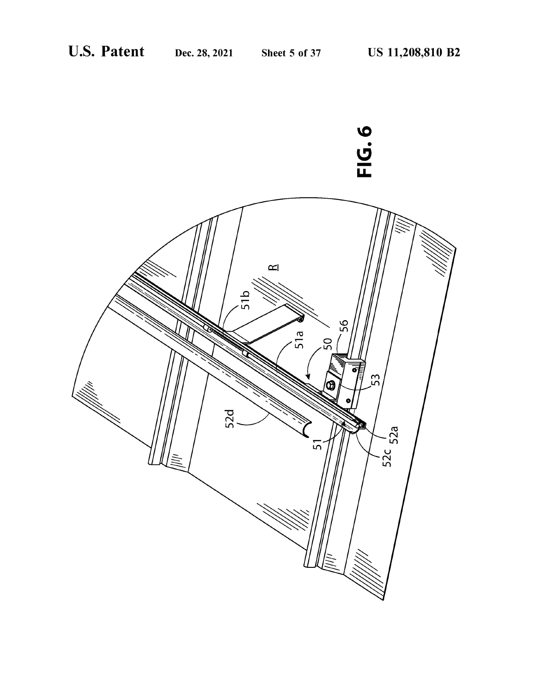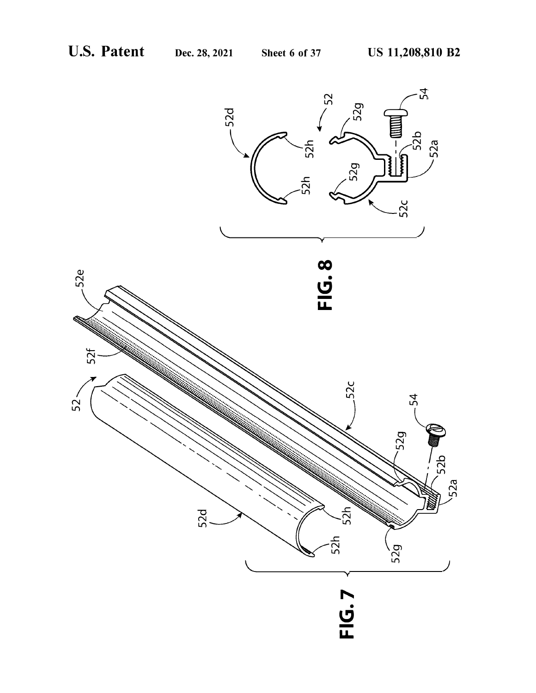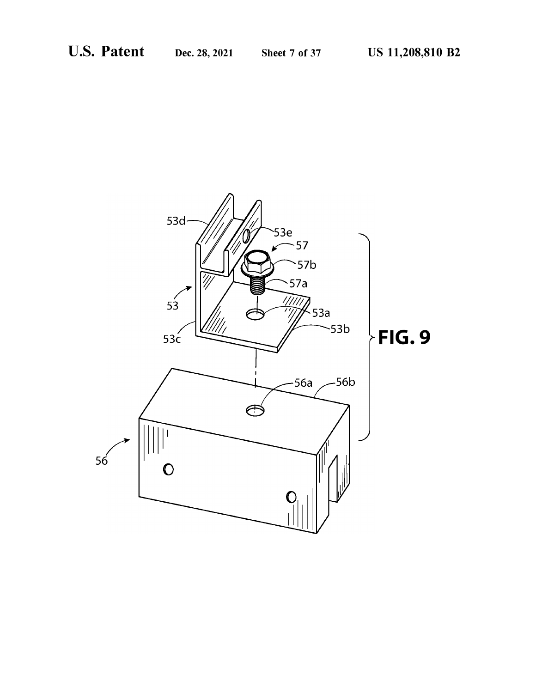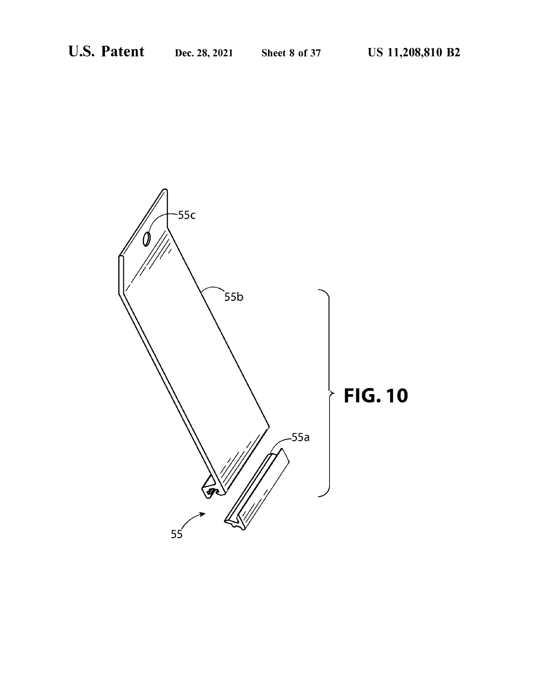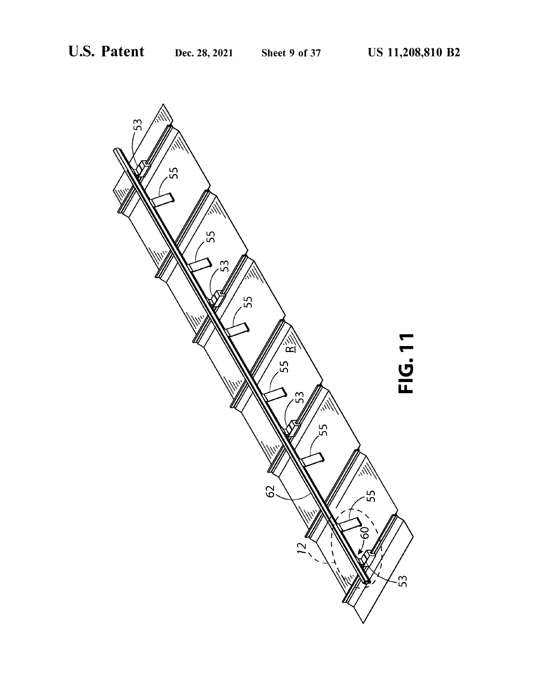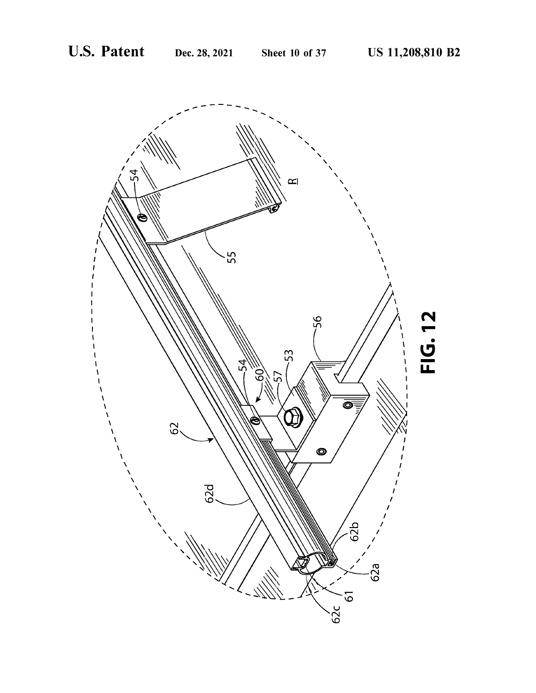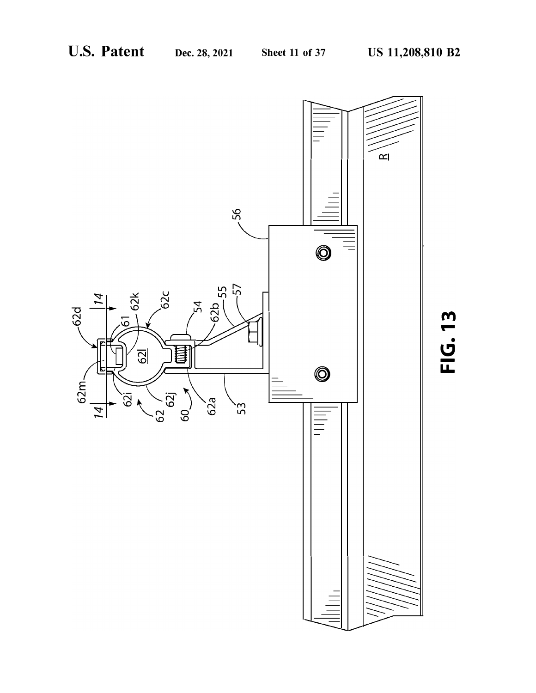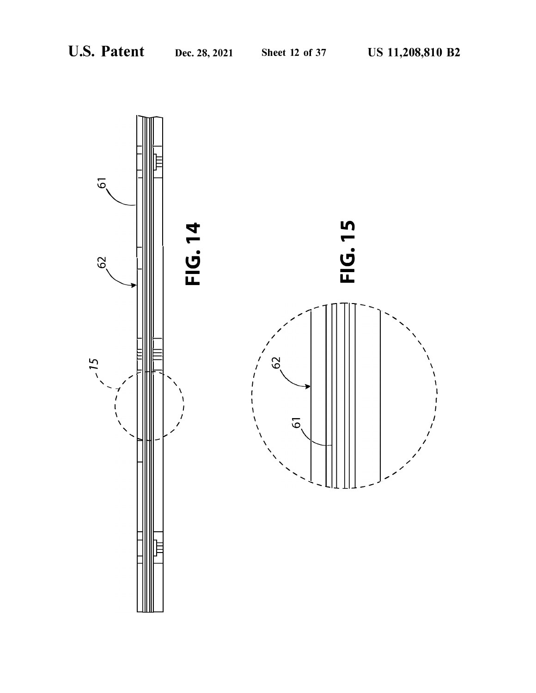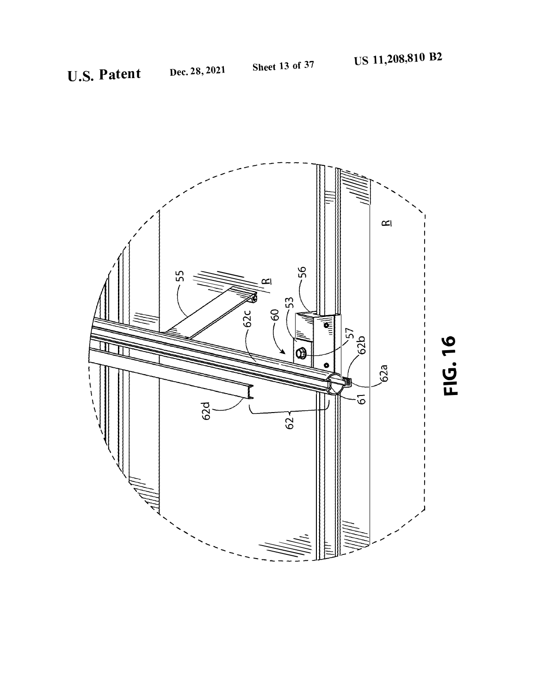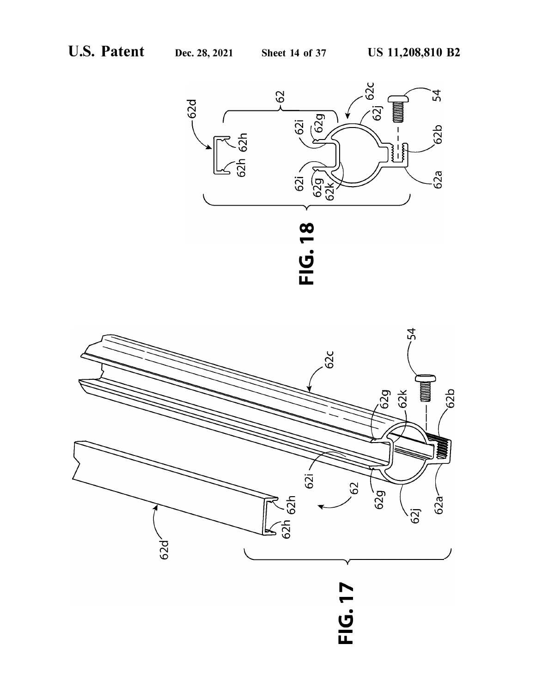



# .<br>- <u>ت</u> **u.**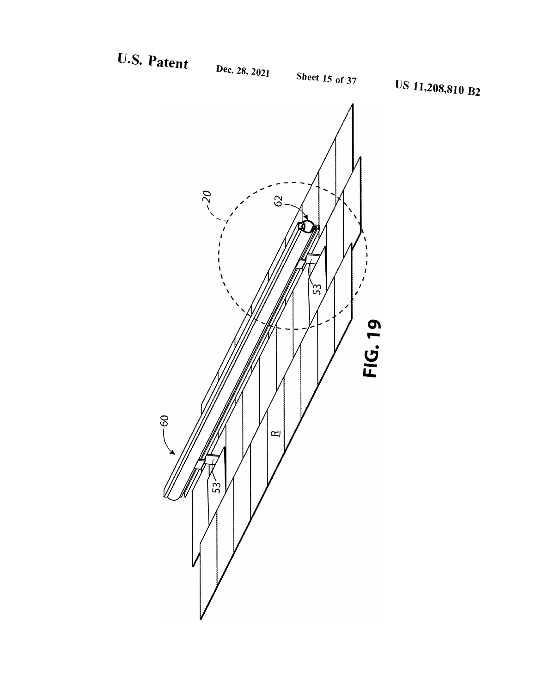## U.S. Patent

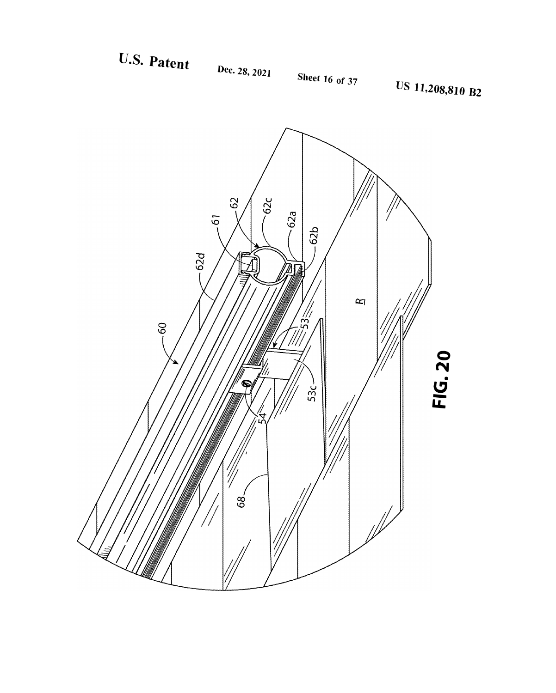



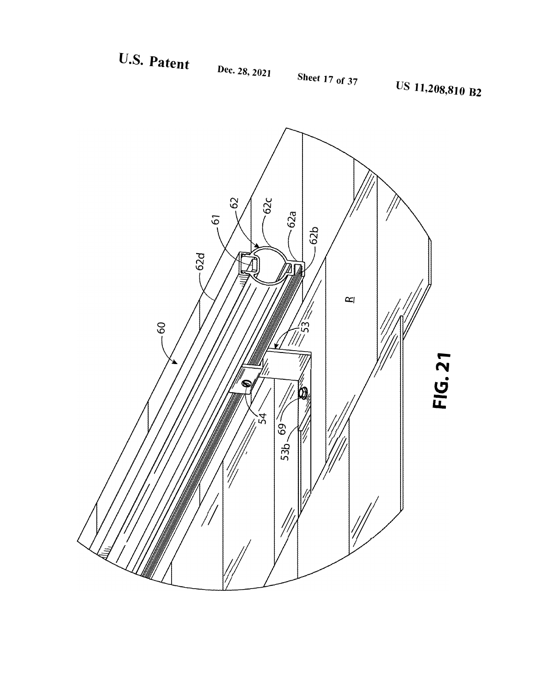U.S. Patent



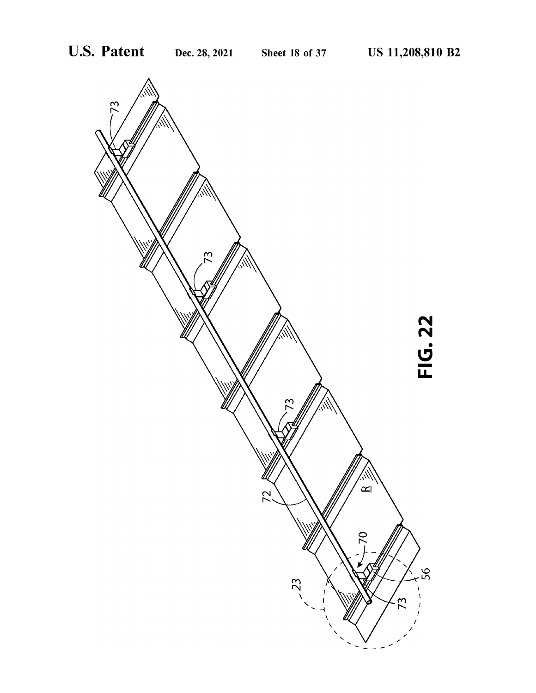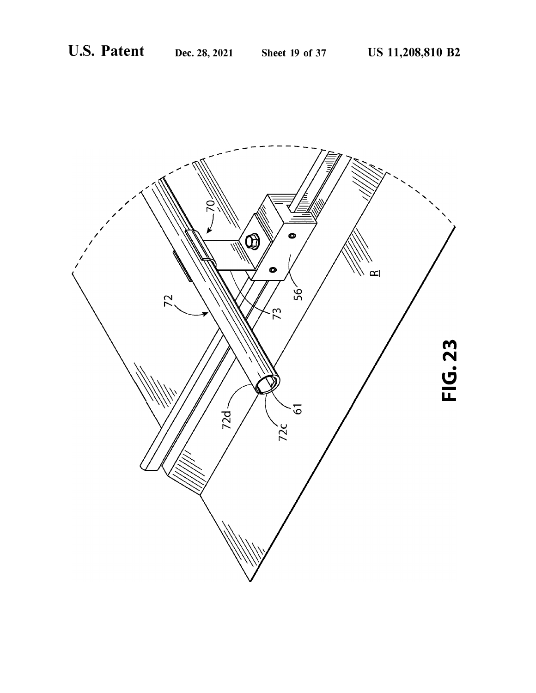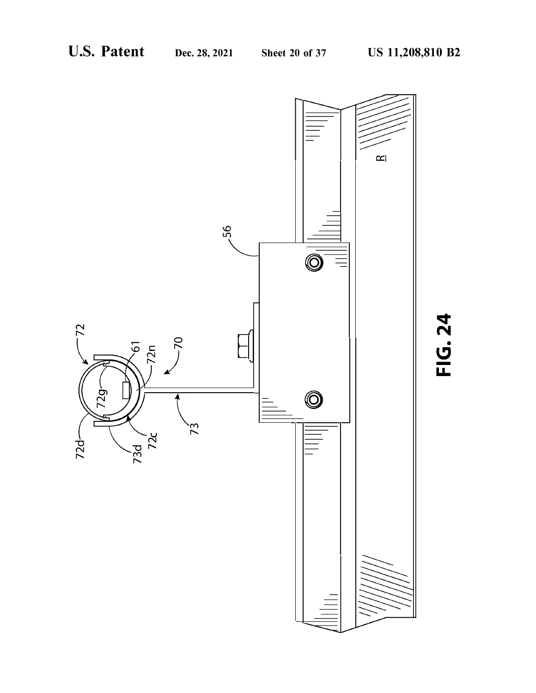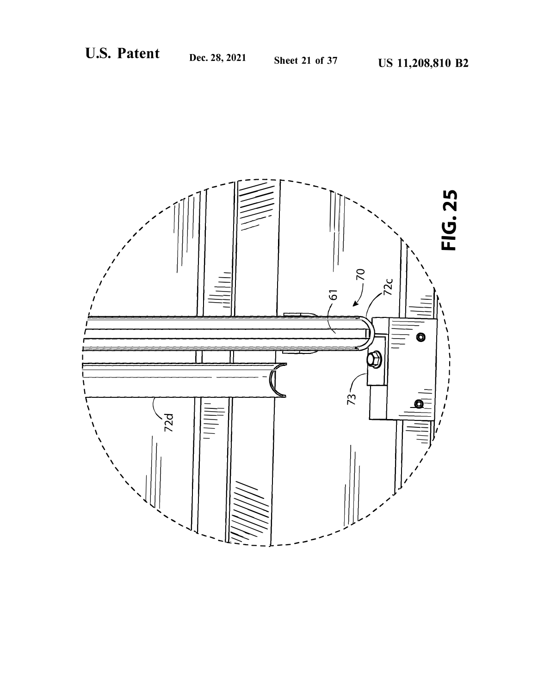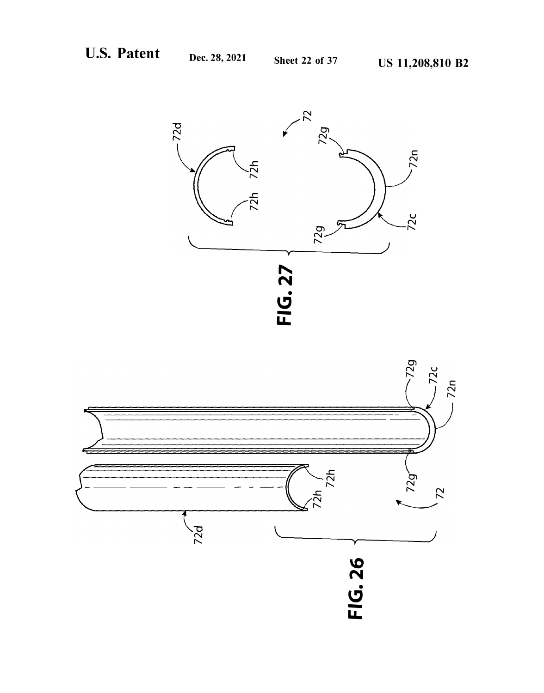![](_page_22_Figure_4.jpeg)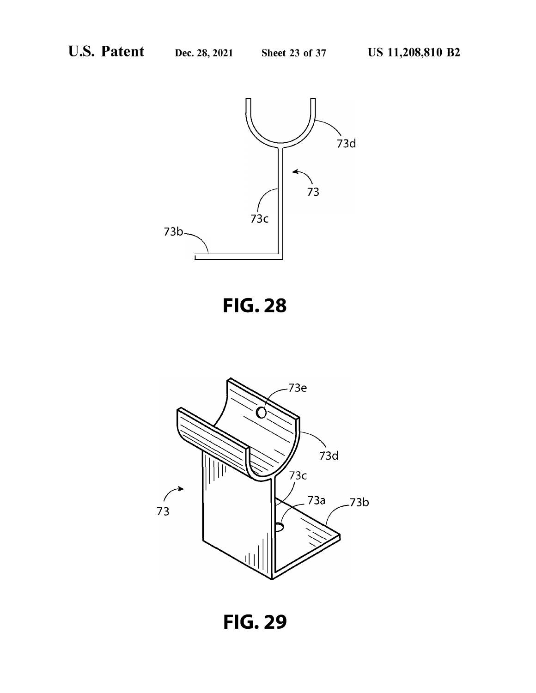![](_page_23_Figure_4.jpeg)

![](_page_23_Figure_5.jpeg)

![](_page_23_Figure_6.jpeg)

**FIG. 29**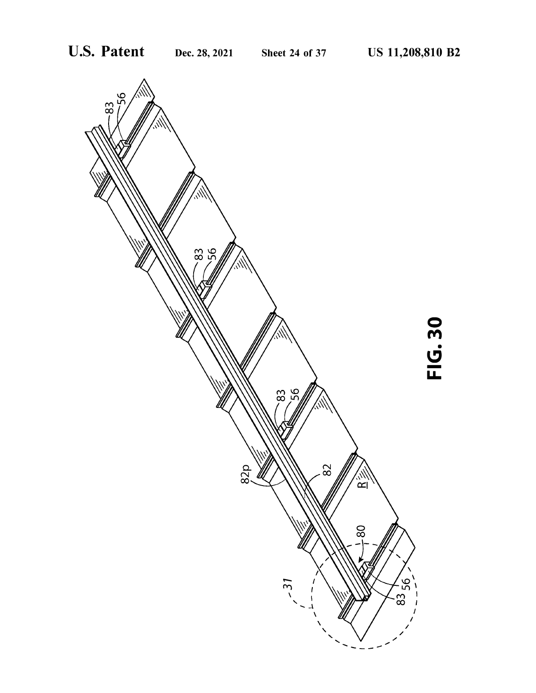![](_page_24_Figure_4.jpeg)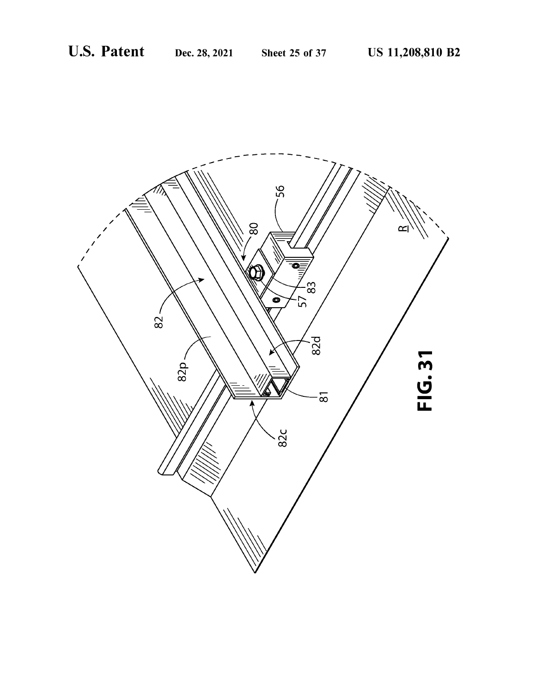![](_page_25_Picture_4.jpeg)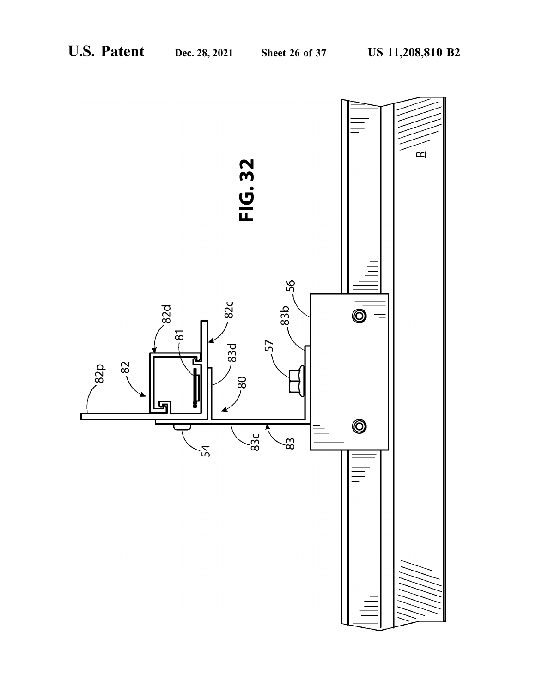![](_page_26_Figure_4.jpeg)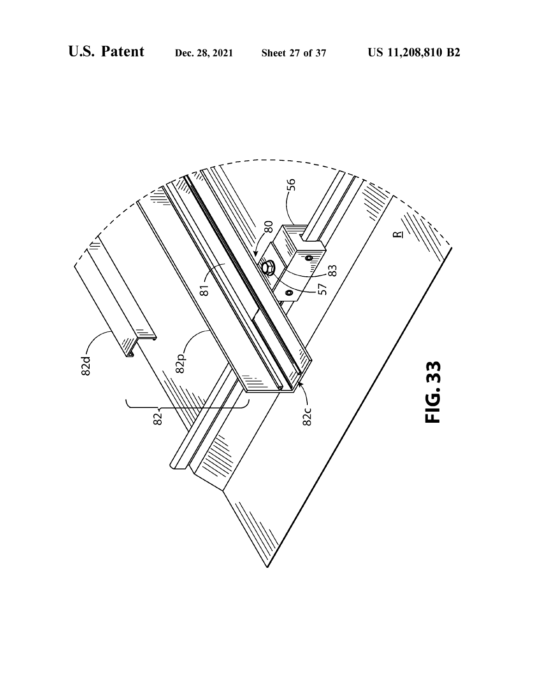![](_page_27_Picture_4.jpeg)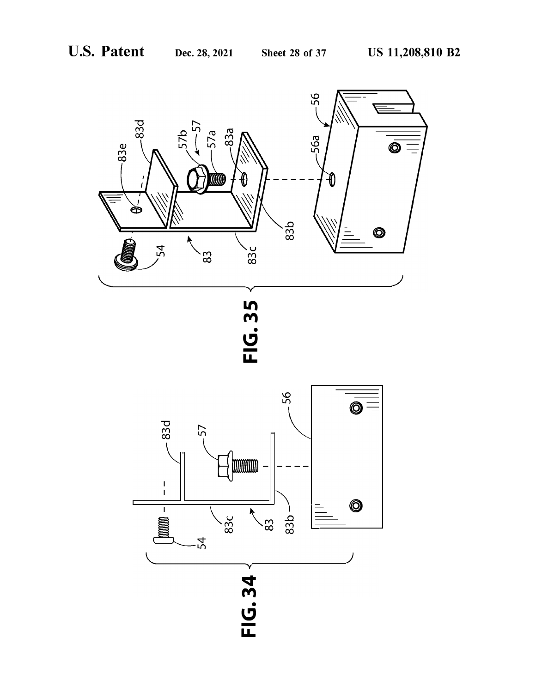![](_page_28_Figure_4.jpeg)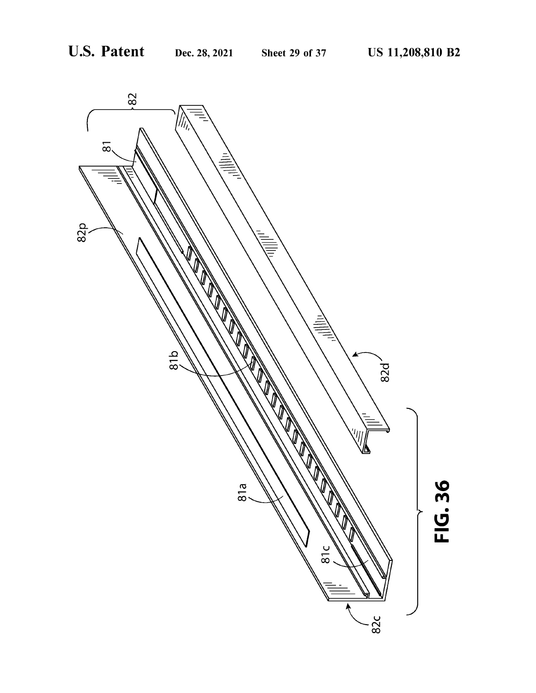![](_page_29_Figure_4.jpeg)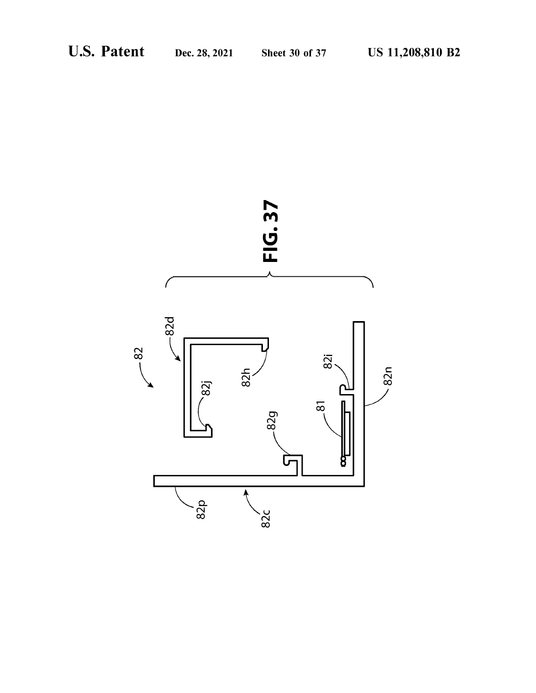![](_page_30_Figure_4.jpeg)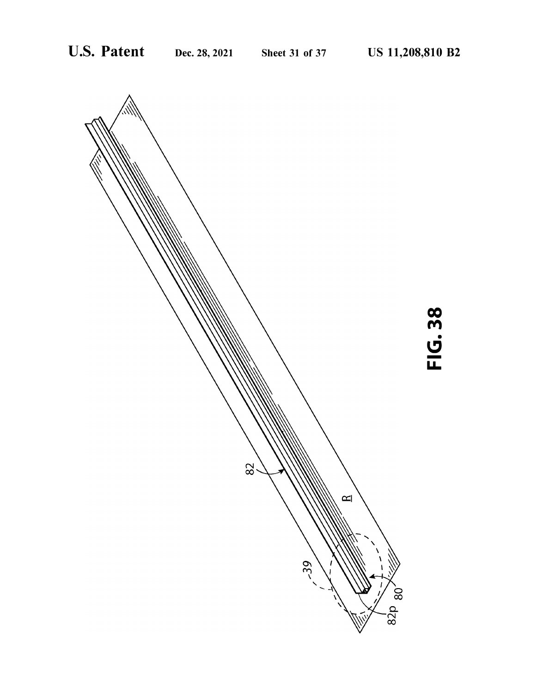![](_page_31_Figure_4.jpeg)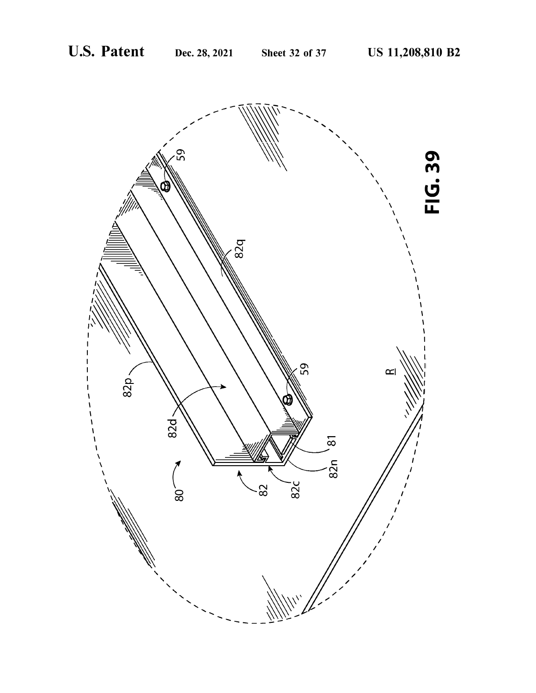![](_page_32_Picture_4.jpeg)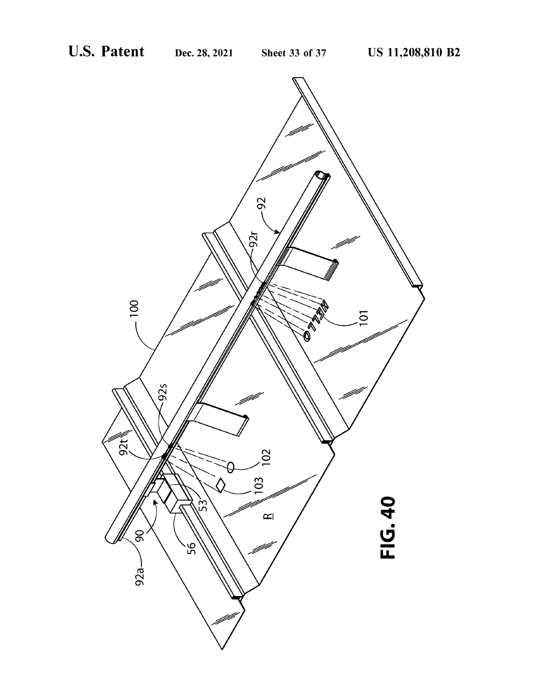![](_page_33_Figure_4.jpeg)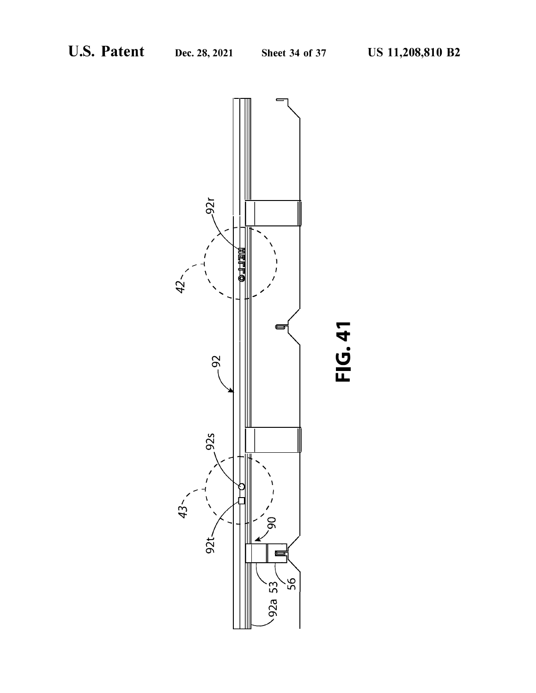![](_page_34_Figure_4.jpeg)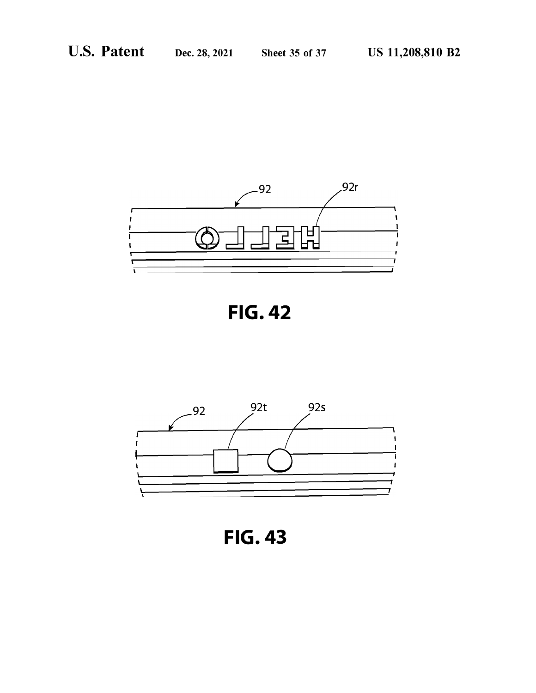![](_page_35_Figure_4.jpeg)

![](_page_35_Figure_5.jpeg)

![](_page_35_Figure_6.jpeg)

**FIG. 43**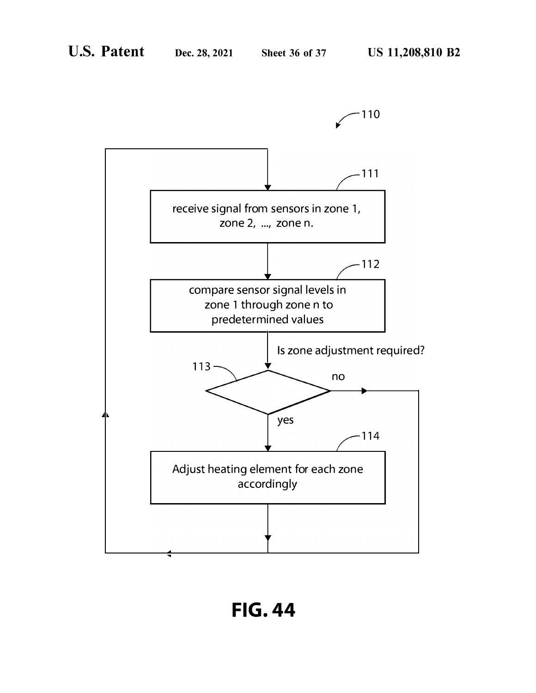![](_page_36_Figure_4.jpeg)

**FIG. 44**